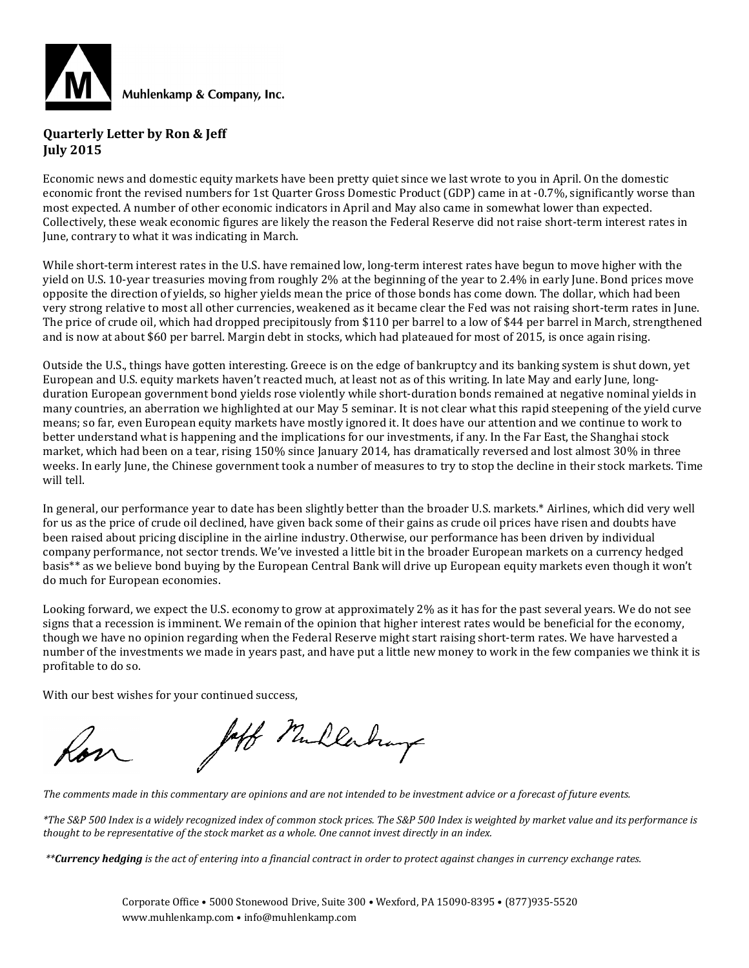

#### **Quarterly Letter by Ron & Jeff July 2015**

Economic news and domestic equity markets have been pretty quiet since we last wrote to you in April. On the domestic economic front the revised numbers for 1st Quarter Gross Domestic Product (GDP) came in at -0.7%, significantly worse than most expected. A number of other economic indicators in April and May also came in somewhat lower than expected. Collectively, these weak economic figures are likely the reason the Federal Reserve did not raise short-term interest rates in June, contrary to what it was indicating in March.

While short-term interest rates in the U.S. have remained low, long-term interest rates have begun to move higher with the yield on U.S. 10-year treasuries moving from roughly 2% at the beginning of the year to 2.4% in early June. Bond prices move opposite the direction of yields, so higher yields mean the price of those bonds has come down. The dollar, which had been very strong relative to most all other currencies, weakened as it became clear the Fed was not raising short-term rates in June. The price of crude oil, which had dropped precipitously from \$110 per barrel to a low of \$44 per barrel in March, strengthened and is now at about \$60 per barrel. Margin debt in stocks, which had plateaued for most of 2015, is once again rising.

Outside the U.S., things have gotten interesting. Greece is on the edge of bankruptcy and its banking system is shut down, yet European and U.S. equity markets haven't reacted much, at least not as of this writing. In late May and early June, longduration European government bond yields rose violently while short-duration bonds remained at negative nominal yields in many countries, an aberration we highlighted at our May 5 seminar. It is not clear what this rapid steepening of the yield curve means; so far, even European equity markets have mostly ignored it. It does have our attention and we continue to work to better understand what is happening and the implications for our investments, if any. In the Far East, the Shanghai stock market, which had been on a tear, rising 150% since January 2014, has dramatically reversed and lost almost 30% in three weeks. In early June, the Chinese government took a number of measures to try to stop the decline in their stock markets. Time will tell.

In general, our performance year to date has been slightly better than the broader U.S. markets.\* Airlines, which did very well for us as the price of crude oil declined, have given back some of their gains as crude oil prices have risen and doubts have been raised about pricing discipline in the airline industry. Otherwise, our performance has been driven by individual company performance, not sector trends. We've invested a little bit in the broader European markets on a currency hedged basis\*\* as we believe bond buying by the European Central Bank will drive up European equity markets even though it won't do much for European economies.

Looking forward, we expect the U.S. economy to grow at approximately 2% as it has for the past several years. We do not see signs that a recession is imminent. We remain of the opinion that higher interest rates would be beneficial for the economy, though we have no opinion regarding when the Federal Reserve might start raising short-term rates. We have harvested a number of the investments we made in years past, and have put a little new money to work in the few companies we think it is profitable to do so.

With our best wishes for your continued success,

Jaff Mullerhay

*The comments made in this commentary are opinions and are not intended to be investment advice or a forecast of future events.*

*\*The S&P 500 Index is a widely recognized index of common stock prices. The S&P 500 Index is weighted by market value and its performance is thought to be representative of the stock market as a whole. One cannot invest directly in an index.*

*\*\*Currency hedging is the act of entering into a financial contract in order to protect against changes in currency exchange rates.*

Corporate Office • 5000 Stonewood Drive, Suite 300 • Wexford, PA 15090-8395 • (877)935-5520 www.muhlenkamp.com • info@muhlenkamp.com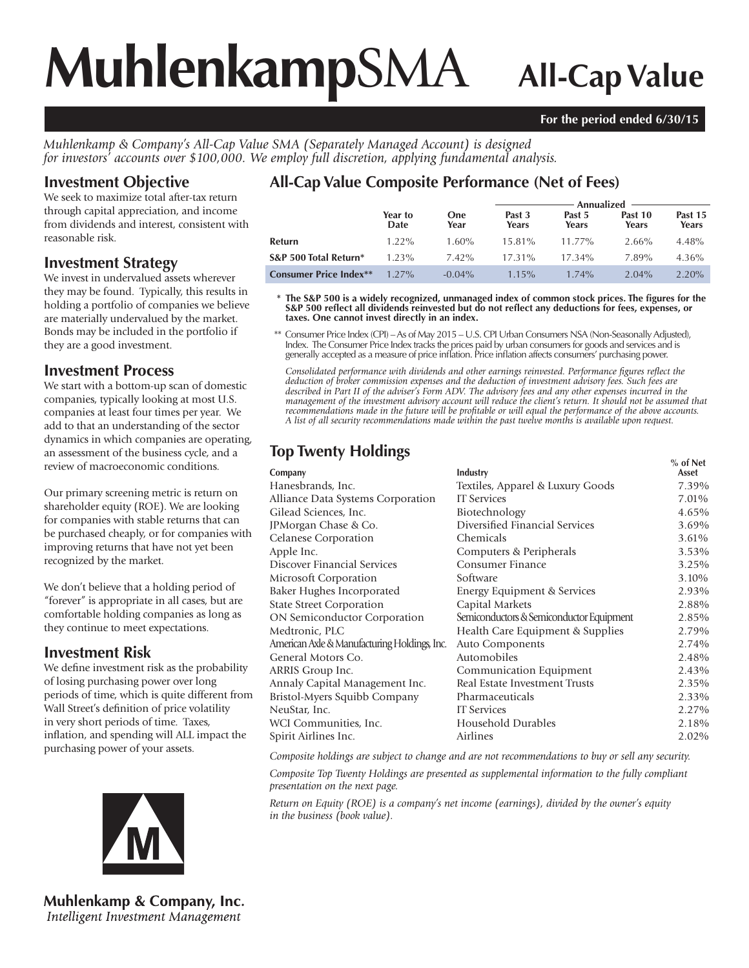# **Muhlenkamp**SMA **All-Cap Value**

#### **For the period ended 6/30/15**

*Muhlenkamp & Company's All-Cap Value SMA (Separately Managed Account) is designed for investors' accounts over \$100,000. We employ full discretion, applying fundamental analysis.*

# **Investment Objective**

We seek to maximize total after-tax return through capital appreciation, and income from dividends and interest, consistent with reasonable risk.

#### **Investment Strategy**

We invest in undervalued assets wherever they may be found. Typically, this results in holding a portfolio of companies we believe are materially undervalued by the market. Bonds may be included in the portfolio if they are a good investment.

## **Investment Process**

We start with a bottom-up scan of domestic companies, typically looking at most U.S. companies at least four times per year. We add to that an understanding of the sector dynamics in which companies are operating, an assessment of the business cycle, and a review of macroeconomic conditions.

Our primary screening metric is return on shareholder equity (ROE). We are looking for companies with stable returns that can be purchased cheaply, or for companies with improving returns that have not yet been recognized by the market.

We don't believe that a holding period of "forever" is appropriate in all cases, but are comfortable holding companies as long as they continue to meet expectations.

## **Investment Risk**

We define investment risk as the probability of losing purchasing power over long periods of time, which is quite different from Wall Street's definition of price volatility in very short periods of time. Taxes, inflation, and spending will ALL impact the purchasing power of your assets.



**Muhlenkamp & Company, Inc.** Intelligent Investment Management

# **All-Cap Value Composite Performance (Net of Fees)**

|                               |                 |             | Annualized <b>Annualized</b> |                 |                  |                  |  |
|-------------------------------|-----------------|-------------|------------------------------|-----------------|------------------|------------------|--|
|                               | Year to<br>Date | One<br>Year | Past 3<br>Years              | Past 5<br>Years | Past 10<br>Years | Past 15<br>Years |  |
| <b>Refurn</b>                 | $1.22\%$        | $1.60\%$    | 15.81%                       | $11.77\%$       | $2.66\%$         | 4.48%            |  |
| S&P 500 Total Return*         | $1.23\%$        | $7.42\%$    | $17.31\%$                    | $17.34\%$       | 7.89%            | $4.36\%$         |  |
| <b>Consumer Price Index**</b> | $1.27\%$        | $-0.04\%$   | $1.15\%$                     | $1.74\%$        | $2.04\%$         | $2.20\%$         |  |

\* The S&P 500 is a widely recognized, unmanaged index of common stock prices. The figures for the S&P 500 reflect all dividends reinvested but do not reflect any deductions for fees, expenses, or **taxes. One cannot invest directly in an index.**

 \*\* Consumer Price Index (CPI) – As of May 2015 – U.S. CPI Urban Consumers NSA (Non-Seasonally Adjusted), Index. The Consumer Price Index tracks the prices paid by urban consumers for goods and services and is generally accepted as a measure of price infl ation. Price infl ation affects consumers' purchasing power.

Consolidated performance with dividends and other earnings reinvested. Performance figures reflect the *deduction of broker commission expenses and the deduction of investment advisory fees. Such fees are described in Part II of the adviser's Form ADV. The advisory fees and any other expenses incurred in the management of the investment advisory account will reduce the client's return. It should not be assumed that recommendations made in the future will be profi table or will equal the performance of the above accounts. A list of all security recommendations made within the past twelve months is available upon request.*

# **Top Twenty Holdings**

| Company                                      | Industry                                 | $%$ of Net<br>Asset |
|----------------------------------------------|------------------------------------------|---------------------|
| Hanesbrands, Inc.                            | Textiles, Apparel & Luxury Goods         | 7.39%               |
| Alliance Data Systems Corporation            | <b>IT Services</b>                       | 7.01%               |
| Gilead Sciences, Inc.                        | Biotechnology                            | 4.65%               |
| JPMorgan Chase & Co.                         | Diversified Financial Services           | 3.69%               |
| Celanese Corporation                         | Chemicals                                | 3.61%               |
| Apple Inc.                                   | Computers & Peripherals                  | 3.53%               |
| Discover Financial Services                  | Consumer Finance                         | 3.25%               |
| Microsoft Corporation                        | Software                                 | 3.10%               |
| Baker Hughes Incorporated                    | Energy Equipment & Services              | 2.93%               |
| <b>State Street Corporation</b>              | Capital Markets                          | 2.88%               |
| <b>ON Semiconductor Corporation</b>          | Semiconductors & Semiconductor Equipment | 2.85%               |
| Medtronic, PLC                               | Health Care Equipment & Supplies         | 2.79%               |
| American Axle & Manufacturing Holdings, Inc. | Auto Components                          | 2.74%               |
| General Motors Co.                           | Automobiles                              | 2.48%               |
| ARRIS Group Inc.                             | Communication Equipment                  | 2.43%               |
| Annaly Capital Management Inc.               | Real Estate Investment Trusts            | 2.35%               |
| Bristol-Myers Squibb Company                 | Pharmaceuticals                          | 2.33%               |
| NeuStar, Inc.                                | <b>IT</b> Services                       | 2.27%               |
| WCI Communities, Inc.                        | Household Durables                       | 2.18%               |
| Spirit Airlines Inc.                         | Airlines                                 | 2.02%               |

*Composite holdings are subject to change and are not recommendations to buy or sell any security.*

*Composite Top Twenty Holdings are presented as supplemental information to the fully compliant presentation on the next page.*

*Return on Equity (ROE) is a company's net income (earnings), divided by the owner's equity in the business (book value).*